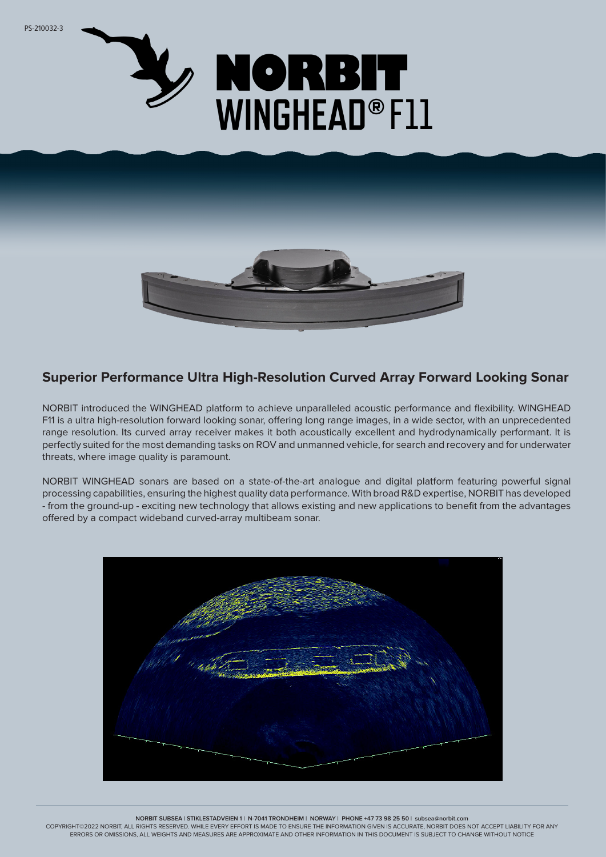



## **Superior Performance Ultra High-Resolution Curved Array Forward Looking Sonar**

NORBIT introduced the WINGHEAD platform to achieve unparalleled acoustic performance and flexibility. WINGHEAD F11 is a ultra high-resolution forward looking sonar, offering long range images, in a wide sector, with an unprecedented range resolution. Its curved array receiver makes it both acoustically excellent and hydrodynamically performant. It is perfectly suited for the most demanding tasks on ROV and unmanned vehicle, for search and recovery and for underwater threats, where image quality is paramount.

NORBIT WINGHEAD sonars are based on a state-of-the-art analogue and digital platform featuring powerful signal processing capabilities, ensuring the highest quality data performance. With broad R&D expertise, NORBIT has developed - from the ground-up - exciting new technology that allows existing and new applications to benefit from the advantages offered by a compact wideband curved-array multibeam sonar.



**NORBIT SUBSEA | STIKLESTADVEIEN 1 | N-7041 TRONDHEIM | NORWAY | PHONE +47 73 98 25 50 | subsea@norbit.com**

COPYRIGHT©2022 NORBIT, ALL RIGHTS RESERVED. WHILE EVERY EFFORT IS MADE TO ENSURE THE INFORMATION GIVEN IS ACCURATE, NORBIT DOES NOT ACCEPT LIABILITY FOR ANY ERRORS OR OMISSIONS, ALL WEIGHTS AND MEASURES ARE APPROXIMATE AND OTHER INFORMATION IN THIS DOCUMENT IS SUBJECT TO CHANGE WITHOUT NOTICE